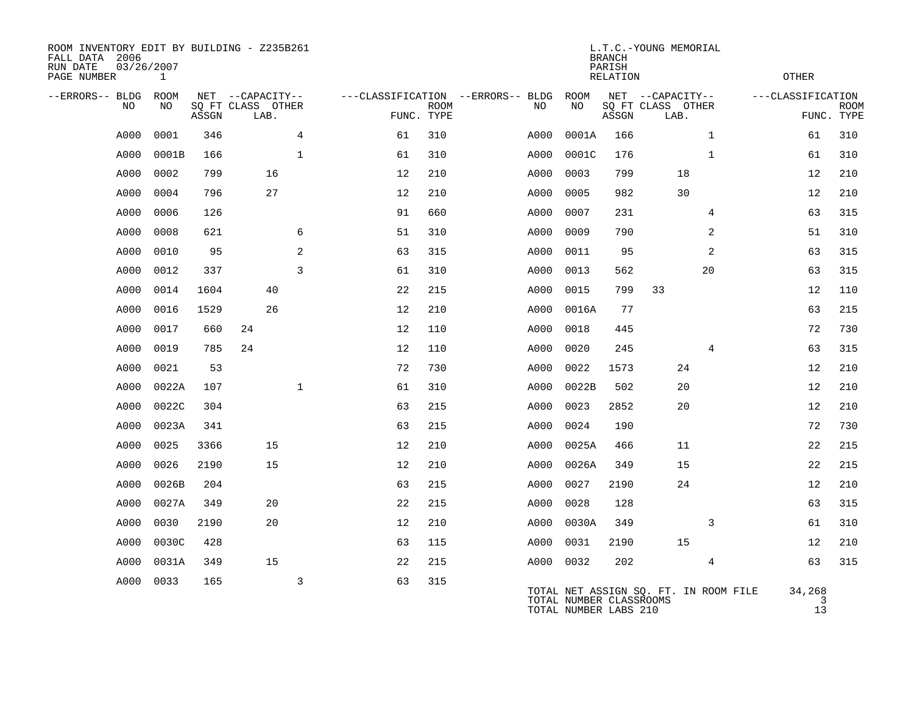| ROOM INVENTORY EDIT BY BUILDING - Z235B261<br>FALL DATA 2006<br>RUN DATE<br>PAGE NUMBER | 03/26/2007<br>$\mathbf{1}$ |       |                           |                |                                   | <b>BRANCH</b><br>PARISH<br><b>RELATION</b> |  |      |                                                  |       |                                       |                | L.T.C.-YOUNG MEMORIAL<br><b>OTHER</b> |                           |  |  |  |
|-----------------------------------------------------------------------------------------|----------------------------|-------|---------------------------|----------------|-----------------------------------|--------------------------------------------|--|------|--------------------------------------------------|-------|---------------------------------------|----------------|---------------------------------------|---------------------------|--|--|--|
| --ERRORS-- BLDG                                                                         | ROOM                       |       | NET --CAPACITY--          |                | ---CLASSIFICATION --ERRORS-- BLDG |                                            |  |      | ROOM                                             |       | NET --CAPACITY--                      |                | ---CLASSIFICATION                     |                           |  |  |  |
| NO                                                                                      | NO                         | ASSGN | SQ FT CLASS OTHER<br>LAB. |                |                                   | <b>ROOM</b><br>FUNC. TYPE                  |  | NO   | NO                                               | ASSGN | SQ FT CLASS OTHER<br>LAB.             |                |                                       | <b>ROOM</b><br>FUNC. TYPE |  |  |  |
| A000                                                                                    | 0001                       | 346   |                           | 4              | 61                                | 310                                        |  | A000 | 0001A                                            | 166   |                                       | $\mathbf{1}$   | 61                                    | 310                       |  |  |  |
| A000                                                                                    | 0001B                      | 166   |                           | $\mathbf{1}$   | 61                                | 310                                        |  | A000 | 0001C                                            | 176   |                                       | $\mathbf{1}$   | 61                                    | 310                       |  |  |  |
| A000                                                                                    | 0002                       | 799   | 16                        |                | 12                                | 210                                        |  | A000 | 0003                                             | 799   | 18                                    |                | 12                                    | 210                       |  |  |  |
| A000                                                                                    | 0004                       | 796   | 27                        |                | 12                                | 210                                        |  | A000 | 0005                                             | 982   | 30                                    |                | 12                                    | 210                       |  |  |  |
| A000                                                                                    | 0006                       | 126   |                           |                | 91                                | 660                                        |  | A000 | 0007                                             | 231   |                                       | 4              | 63                                    | 315                       |  |  |  |
| A000                                                                                    | 0008                       | 621   |                           | 6              | 51                                | 310                                        |  | A000 | 0009                                             | 790   |                                       | 2              | 51                                    | 310                       |  |  |  |
| A000                                                                                    | 0010                       | 95    |                           | 2              | 63                                | 315                                        |  | A000 | 0011                                             | 95    |                                       | 2              | 63                                    | 315                       |  |  |  |
| A000                                                                                    | 0012                       | 337   |                           | $\overline{3}$ | 61                                | 310                                        |  | A000 | 0013                                             | 562   |                                       | 20             | 63                                    | 315                       |  |  |  |
| A000                                                                                    | 0014                       | 1604  | 40                        |                | 22                                | 215                                        |  | A000 | 0015                                             | 799   | 33                                    |                | 12                                    | 110                       |  |  |  |
| A000                                                                                    | 0016                       | 1529  | 26                        |                | 12                                | 210                                        |  | A000 | 0016A                                            | 77    |                                       |                | 63                                    | 215                       |  |  |  |
| A000                                                                                    | 0017                       | 660   | 24                        |                | 12                                | 110                                        |  | A000 | 0018                                             | 445   |                                       |                | 72                                    | 730                       |  |  |  |
| A000                                                                                    | 0019                       | 785   | 24                        |                | 12                                | 110                                        |  | A000 | 0020                                             | 245   |                                       | 4              | 63                                    | 315                       |  |  |  |
| A000                                                                                    | 0021                       | 53    |                           |                | 72                                | 730                                        |  | A000 | 0022                                             | 1573  | 24                                    |                | 12                                    | 210                       |  |  |  |
| A000                                                                                    | 0022A                      | 107   |                           | $\mathbf{1}$   | 61                                | 310                                        |  | A000 | 0022B                                            | 502   | 20                                    |                | 12                                    | 210                       |  |  |  |
| A000                                                                                    | 0022C                      | 304   |                           |                | 63                                | 215                                        |  | A000 | 0023                                             | 2852  | 20                                    |                | 12                                    | 210                       |  |  |  |
| A000                                                                                    | 0023A                      | 341   |                           |                | 63                                | 215                                        |  | A000 | 0024                                             | 190   |                                       |                | 72                                    | 730                       |  |  |  |
| A000                                                                                    | 0025                       | 3366  | 15                        |                | 12                                | 210                                        |  | A000 | 0025A                                            | 466   | 11                                    |                | 22                                    | 215                       |  |  |  |
| A000                                                                                    | 0026                       | 2190  | 15                        |                | 12                                | 210                                        |  | A000 | 0026A                                            | 349   | 15                                    |                | 22                                    | 215                       |  |  |  |
| A000                                                                                    | 0026B                      | 204   |                           |                | 63                                | 215                                        |  | A000 | 0027                                             | 2190  | 24                                    |                | 12                                    | 210                       |  |  |  |
| A000                                                                                    | 0027A                      | 349   | 20                        |                | 22                                | 215                                        |  | A000 | 0028                                             | 128   |                                       |                | 63                                    | 315                       |  |  |  |
| A000                                                                                    | 0030                       | 2190  | 20                        |                | 12                                | 210                                        |  | A000 | 0030A                                            | 349   |                                       | 3              | 61                                    | 310                       |  |  |  |
| A000                                                                                    | 0030C                      | 428   |                           |                | 63                                | 115                                        |  | A000 | 0031                                             | 2190  | 15                                    |                | 12                                    | 210                       |  |  |  |
| A000                                                                                    | 0031A                      | 349   | 15                        |                | 22                                | 215                                        |  | A000 | 0032                                             | 202   |                                       | $\overline{4}$ | 63                                    | 315                       |  |  |  |
| A000                                                                                    | 0033                       | 165   |                           | $\mathsf{3}$   | 63                                | 315                                        |  |      | TOTAL NUMBER CLASSROOMS<br>TOTAL NUMBER LABS 210 |       | TOTAL NET ASSIGN SQ. FT. IN ROOM FILE |                | 34,268<br>3<br>13                     |                           |  |  |  |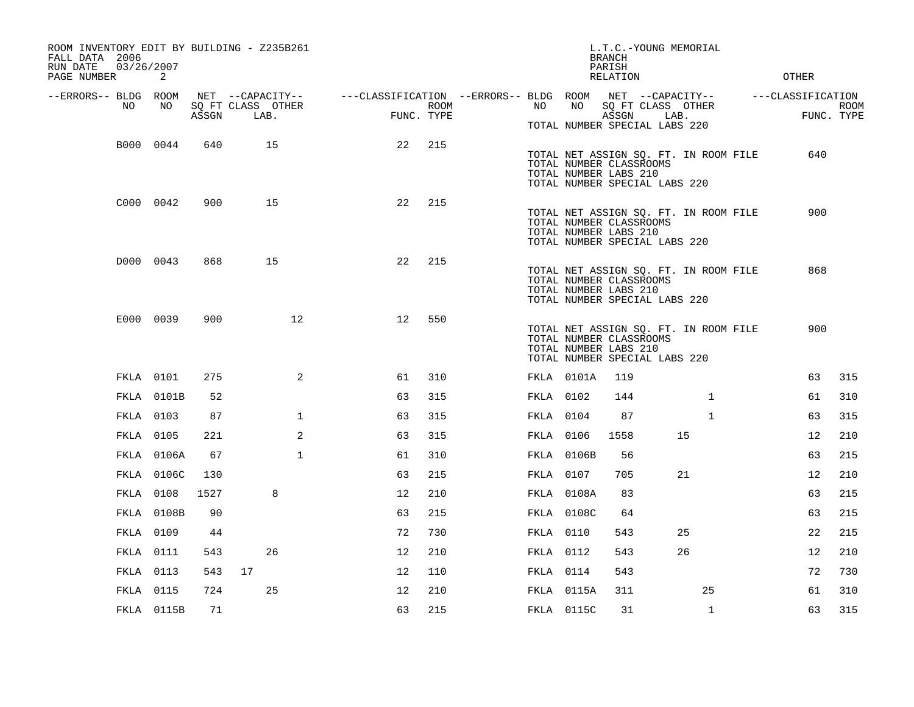| ROOM INVENTORY EDIT BY BUILDING - Z235B261<br>FALL DATA 2006<br>03/26/2007<br>RUN DATE<br>PAGE NUMBER | 2                |       |                           |                                                         |                    |                  |            | L.T.C.-YOUNG MEMORIAL<br><b>BRANCH</b><br>PARISH<br>RELATION                                                               |      |              | <b>OTHER</b>      |                           |
|-------------------------------------------------------------------------------------------------------|------------------|-------|---------------------------|---------------------------------------------------------|--------------------|------------------|------------|----------------------------------------------------------------------------------------------------------------------------|------|--------------|-------------------|---------------------------|
| --ERRORS-- BLDG ROOM                                                                                  |                  |       | NET --CAPACITY--          | ---CLASSIFICATION --ERRORS-- BLDG ROOM NET --CAPACITY-- |                    |                  |            |                                                                                                                            |      |              | ---CLASSIFICATION |                           |
| NO                                                                                                    | NO               | ASSGN | SQ FT CLASS OTHER<br>LAB. |                                                         | ROOM<br>FUNC. TYPE | NO               | NO         | SQ FT CLASS OTHER<br>ASSGN                                                                                                 | LAB. |              |                   | <b>ROOM</b><br>FUNC. TYPE |
|                                                                                                       |                  |       |                           |                                                         |                    |                  |            | TOTAL NUMBER SPECIAL LABS 220                                                                                              |      |              |                   |                           |
|                                                                                                       | B000 0044        | 640   | 15                        | 22                                                      | 215                |                  |            | TOTAL NET ASSIGN SQ. FT. IN ROOM FILE<br>TOTAL NUMBER CLASSROOMS<br>TOTAL NUMBER LABS 210<br>TOTAL NUMBER SPECIAL LABS 220 |      |              | 640               |                           |
|                                                                                                       | C000 0042        | 900   | 15                        | 22                                                      | 215                |                  |            | TOTAL NET ASSIGN SQ. FT. IN ROOM FILE<br>TOTAL NUMBER CLASSROOMS                                                           |      |              | 900               |                           |
|                                                                                                       |                  |       |                           |                                                         |                    |                  |            | TOTAL NUMBER LABS 210<br>TOTAL NUMBER SPECIAL LABS 220                                                                     |      |              |                   |                           |
|                                                                                                       | D000 0043        | 868   | 15                        | 22                                                      | 215                |                  |            | TOTAL NET ASSIGN SQ. FT. IN ROOM FILE<br>TOTAL NUMBER CLASSROOMS<br>TOTAL NUMBER LABS 210<br>TOTAL NUMBER SPECIAL LABS 220 |      |              | 868               |                           |
|                                                                                                       | E000 0039        | 900   | 12 <sup>°</sup>           | 12                                                      | 550                |                  |            | TOTAL NET ASSIGN SQ. FT. IN ROOM FILE<br>TOTAL NUMBER CLASSROOMS<br>TOTAL NUMBER LABS 210<br>TOTAL NUMBER SPECIAL LABS 220 |      |              | 900               |                           |
|                                                                                                       | FKLA 0101        | 275   | 2                         | 61                                                      | 310                |                  | FKLA 0101A | 119                                                                                                                        |      |              | 63                | 315                       |
|                                                                                                       | FKLA 0101B       | 52    |                           | 63                                                      | 315                | FKLA 0102        |            | 144                                                                                                                        |      | $\mathbf{1}$ | 61                | 310                       |
|                                                                                                       | <b>FKLA 0103</b> | 87    | $\mathbf{1}$              | 63                                                      | 315                | FKLA 0104        |            | 87                                                                                                                         |      | $\mathbf{1}$ | 63                | 315                       |
|                                                                                                       | FKLA 0105        | 221   | 2                         | 63                                                      | 315                | <b>FKLA 0106</b> |            | 1558                                                                                                                       |      | 15           | 12                | 210                       |
|                                                                                                       | FKLA 0106A       | 67    | $\mathbf{1}$              | 61                                                      | 310                |                  | FKLA 0106B | 56                                                                                                                         |      |              | 63                | 215                       |
|                                                                                                       | FKLA 0106C       | 130   |                           | 63                                                      | 215                | FKLA 0107        |            | 705                                                                                                                        |      | 21           | 12                | 210                       |
|                                                                                                       | FKLA 0108        | 1527  | 8                         | 12                                                      | 210                |                  | FKLA 0108A | 83                                                                                                                         |      |              | 63                | 215                       |
|                                                                                                       | FKLA 0108B       | 90    |                           | 63                                                      | 215                |                  | FKLA 0108C | 64                                                                                                                         |      |              | 63                | 215                       |
|                                                                                                       | FKLA 0109        | 44    |                           | 72                                                      | 730                | <b>FKLA</b> 0110 |            | 543                                                                                                                        |      | 25           | 22                | 215                       |
|                                                                                                       | FKLA 0111        | 543   | 26                        | 12                                                      | 210                | <b>FKLA</b> 0112 |            | 543                                                                                                                        |      | 26           | 12                | 210                       |
|                                                                                                       | FKLA 0113        | 543   | 17                        | 12                                                      | 110                | FKLA 0114        |            | 543                                                                                                                        |      |              | 72                | 730                       |
|                                                                                                       | FKLA 0115        | 724   | 25                        | 12                                                      | 210                |                  | FKLA 0115A | 311                                                                                                                        |      | 25           | 61                | 310                       |
|                                                                                                       | FKLA 0115B       | 71    |                           | 63                                                      | 215                |                  | FKLA 0115C | 31                                                                                                                         |      | $\mathbf{1}$ | 63                | 315                       |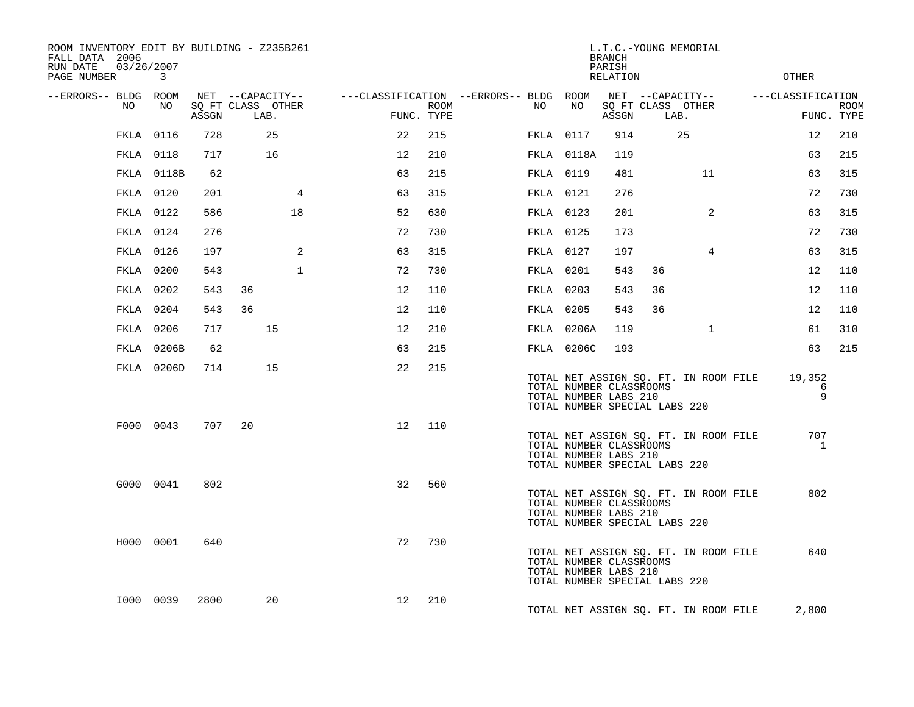| ROOM INVENTORY EDIT BY BUILDING - Z235B261<br>FALL DATA 2006<br>03/26/2007<br>RUN DATE<br>PAGE NUMBER | $\mathbf{3}$     |       |                                       |    |                                        |      |           |            | BRANCH<br>PARISH<br>RELATION                                                      |      | L.T.C.-YOUNG MEMORIAL                 | OTHER               |             |
|-------------------------------------------------------------------------------------------------------|------------------|-------|---------------------------------------|----|----------------------------------------|------|-----------|------------|-----------------------------------------------------------------------------------|------|---------------------------------------|---------------------|-------------|
| --ERRORS-- BLDG ROOM<br>NO                                                                            | NO               |       | NET --CAPACITY--<br>SQ FT CLASS OTHER |    | ---CLASSIFICATION --ERRORS-- BLDG ROOM | ROOM | NO        | NO         |                                                                                   |      | NET --CAPACITY--<br>SQ FT CLASS OTHER | ---CLASSIFICATION   | <b>ROOM</b> |
|                                                                                                       |                  | ASSGN | LAB.                                  |    | FUNC. TYPE                             |      |           |            | ASSGN                                                                             | LAB. |                                       | FUNC. TYPE          |             |
|                                                                                                       | <b>FKLA 0116</b> | 728   | 25                                    |    | 22                                     | 215  | FKLA 0117 |            | 914                                                                               |      | 25                                    | 12                  | 210         |
|                                                                                                       | FKLA 0118        | 717   | 16                                    |    | 12                                     | 210  |           | FKLA 0118A | 119                                                                               |      |                                       | 63                  | 215         |
|                                                                                                       | FKLA 0118B       | 62    |                                       |    | 63                                     | 215  | FKLA 0119 |            | 481                                                                               |      | 11                                    | 63                  | 315         |
|                                                                                                       | FKLA 0120        | 201   |                                       | 4  | 63                                     | 315  | FKLA 0121 |            | 276                                                                               |      |                                       | 72                  | 730         |
|                                                                                                       | FKLA 0122        | 586   |                                       | 18 | 52                                     | 630  | FKLA 0123 |            | 201                                                                               |      | 2                                     | 63                  | 315         |
|                                                                                                       | FKLA 0124        | 276   |                                       |    | 72                                     | 730  | FKLA 0125 |            | 173                                                                               |      |                                       | 72                  | 730         |
|                                                                                                       | FKLA 0126        | 197   |                                       | 2  | 63                                     | 315  | FKLA 0127 |            | 197                                                                               |      | $\overline{4}$                        | 63                  | 315         |
|                                                                                                       | FKLA 0200        | 543   |                                       | 1  | 72                                     | 730  | FKLA 0201 |            | 543                                                                               | 36   |                                       | 12                  | 110         |
|                                                                                                       | FKLA 0202        | 543   | 36                                    |    | 12                                     | 110  | FKLA 0203 |            | 543                                                                               | 36   |                                       | 12                  | 110         |
|                                                                                                       | FKLA 0204        | 543   | 36                                    |    | 12                                     | 110  | FKLA 0205 |            | 543                                                                               | 36   |                                       | 12                  | 110         |
|                                                                                                       | FKLA 0206        | 717   | 15                                    |    | 12                                     | 210  |           | FKLA 0206A | 119                                                                               |      | $\mathbf{1}$                          | 61                  | 310         |
|                                                                                                       | FKLA 0206B       | 62    |                                       |    | 63                                     | 215  |           | FKLA 0206C | 193                                                                               |      |                                       | 63                  | 215         |
|                                                                                                       | FKLA 0206D       | 714   | 15                                    |    | 22                                     | 215  |           |            | TOTAL NUMBER CLASSROOMS<br>TOTAL NUMBER LABS 210<br>TOTAL NUMBER SPECIAL LABS 220 |      | TOTAL NET ASSIGN SQ. FT. IN ROOM FILE | 19,352<br>6<br>9    |             |
|                                                                                                       | F000 0043        | 707   | 20                                    |    | 12                                     | 110  |           |            | TOTAL NUMBER CLASSROOMS<br>TOTAL NUMBER LABS 210<br>TOTAL NUMBER SPECIAL LABS 220 |      | TOTAL NET ASSIGN SQ. FT. IN ROOM FILE | 707<br>$\mathbf{1}$ |             |
|                                                                                                       | G000 0041        | 802   |                                       |    | 32                                     | 560  |           |            | TOTAL NUMBER CLASSROOMS<br>TOTAL NUMBER LABS 210<br>TOTAL NUMBER SPECIAL LABS 220 |      | TOTAL NET ASSIGN SQ. FT. IN ROOM FILE | 802                 |             |
|                                                                                                       | H000 0001        | 640   |                                       |    | 72                                     | 730  |           |            | TOTAL NUMBER CLASSROOMS<br>TOTAL NUMBER LABS 210<br>TOTAL NUMBER SPECIAL LABS 220 |      | TOTAL NET ASSIGN SQ. FT. IN ROOM FILE | 640                 |             |
|                                                                                                       | I000 0039        | 2800  | 20                                    |    | 12                                     | 210  |           |            |                                                                                   |      | TOTAL NET ASSIGN SQ. FT. IN ROOM FILE | 2,800               |             |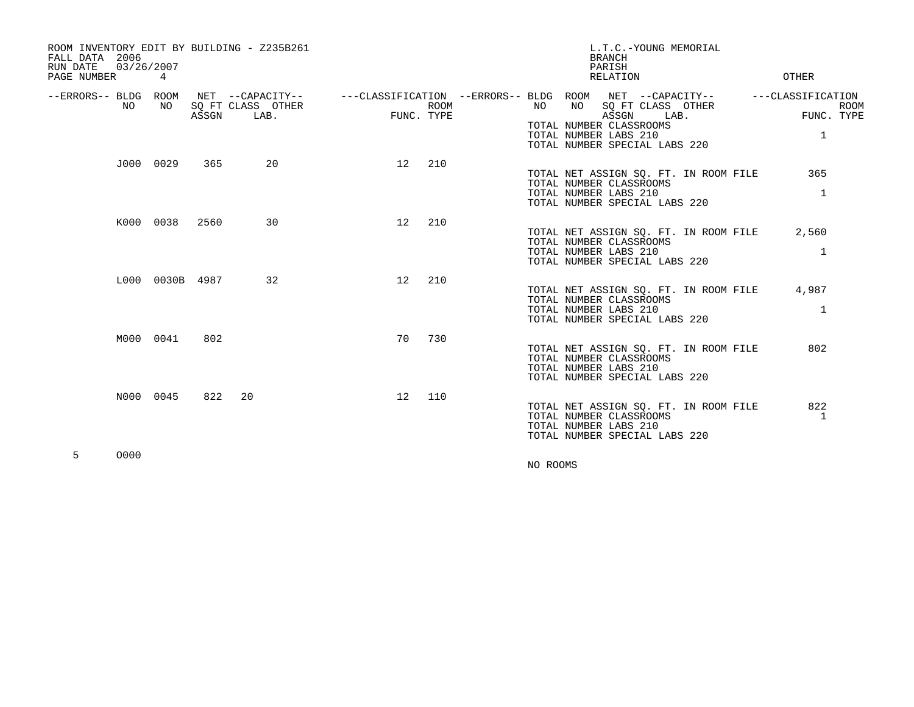| ROOM INVENTORY EDIT BY BUILDING - Z235B261<br>FALL DATA 2006<br>03/26/2007<br>RUN DATE<br>PAGE NUMBER | 4               |       |                                               |            |             |          | <b>BRANCH</b><br>PARISH<br>RELATION                                                              | L.T.C.-YOUNG MEMORIAL                                                                | <b>OTHER</b>                                    |             |
|-------------------------------------------------------------------------------------------------------|-----------------|-------|-----------------------------------------------|------------|-------------|----------|--------------------------------------------------------------------------------------------------|--------------------------------------------------------------------------------------|-------------------------------------------------|-------------|
| --ERRORS-- BLDG ROOM<br>NO.                                                                           | NO              | ASSGN | NET --CAPACITY--<br>SQ FT CLASS OTHER<br>LAB. | FUNC. TYPE | <b>ROOM</b> | NO       | NO<br>ASSGN<br>TOTAL NUMBER CLASSROOMS<br>TOTAL NUMBER LABS 210<br>TOTAL NUMBER SPECIAL LABS 220 | ---CLASSIFICATION --ERRORS-- BLDG ROOM NET --CAPACITY--<br>SQ FT CLASS OTHER<br>LAB. | ---CLASSIFICATION<br>FUNC. TYPE<br>$\mathbf{1}$ | <b>ROOM</b> |
|                                                                                                       | J000 0029       | 365   | 20                                            | 12         | 210         |          | TOTAL NUMBER CLASSROOMS<br>TOTAL NUMBER LABS 210<br>TOTAL NUMBER SPECIAL LABS 220                | TOTAL NET ASSIGN SO. FT. IN ROOM FILE                                                | 365<br>$\mathbf{1}$                             |             |
|                                                                                                       | K000 0038       | 2560  | 30                                            | 12         | 210         |          | TOTAL NUMBER CLASSROOMS<br>TOTAL NUMBER LABS 210<br>TOTAL NUMBER SPECIAL LABS 220                | TOTAL NET ASSIGN SQ. FT. IN ROOM FILE                                                | 2,560<br>$\mathbf{1}$                           |             |
|                                                                                                       | L000 0030B 4987 |       | 32                                            | 12         | 210         |          | TOTAL NUMBER CLASSROOMS<br>TOTAL NUMBER LABS 210<br>TOTAL NUMBER SPECIAL LABS 220                | TOTAL NET ASSIGN SQ. FT. IN ROOM FILE                                                | 4,987<br>$\mathbf{1}$                           |             |
|                                                                                                       | M000 0041       | 802   |                                               | 70         | 730         |          | TOTAL NUMBER CLASSROOMS<br>TOTAL NUMBER LABS 210<br>TOTAL NUMBER SPECIAL LABS 220                | TOTAL NET ASSIGN SQ. FT. IN ROOM FILE                                                | 802                                             |             |
|                                                                                                       | N000 0045       | 822   | 20                                            | 12         | 110         |          | TOTAL NUMBER CLASSROOMS<br>TOTAL NUMBER LABS 210<br>TOTAL NUMBER SPECIAL LABS 220                | TOTAL NET ASSIGN SQ. FT. IN ROOM FILE                                                | 822<br>1                                        |             |
| 0000<br>5                                                                                             |                 |       |                                               |            |             | NO ROOMS |                                                                                                  |                                                                                      |                                                 |             |